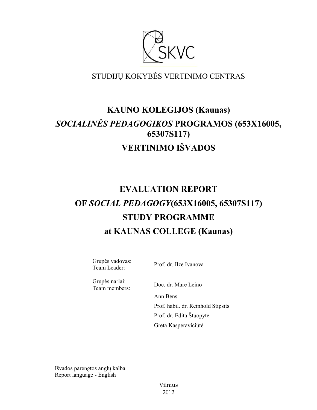

# STUDIJŲ KOKYBĖS VERTINIMO CENTRAS

# **KAUNO KOLEGIJOS (Kaunas)** *SOCIALINĖS PEDAGOGIKOS* **PROGRAMOS (653X16005, 65307S117) VERTINIMO IŠVADOS**

––––––––––––––––––––––––––––––

# **EVALUATION REPORT OF** *SOCIAL PEDAGOGY***(653X16005, 65307S117) STUDY PROGRAMME at KAUNAS COLLEGE (Kaunas)**

Grupės vadovas: Team Leader: Prof. dr. Ilze Ivanova

Grupės nariai:

Team members: Doc. dr. Mare Leino Ann Bens Prof. habil. dr. Reinhold Stipsits Prof. dr. Edita Štuopytė Greta Kasperavičiūtė

Išvados parengtos anglų kalba Report language - English

> Vilnius 2012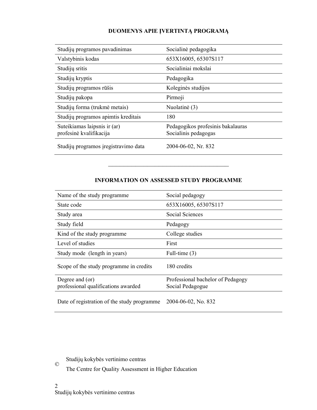# **DUOMENYS APIE ĮVERTINTĄ PROGRAMĄ**

| Studijų programos pavadinimas                           | Socialinė pedagogika                                      |
|---------------------------------------------------------|-----------------------------------------------------------|
| Valstybinis kodas                                       | 653X16005, 65307S117                                      |
| Studijų sritis                                          | Socialiniai mokslai                                       |
| Studijų kryptis                                         | Pedagogika                                                |
| Studijų programos rūšis                                 | Koleginės studijos                                        |
| Studiju pakopa                                          | Pirmoji                                                   |
| Studijų forma (trukmė metais)                           | Nuolatinė (3)                                             |
| Studijų programos apimtis kreditais                     | 180                                                       |
| Suteikiamas laipsnis ir (ar)<br>profesinė kvalifikacija | Pedagogikos profesinis bakalauras<br>Socialinis pedagogas |
| Studijų programos įregistravimo data                    | 2004-06-02, Nr. 832                                       |

#### **INFORMATION ON ASSESSED STUDY PROGRAMME**

–––––––––––––––––––––––––––––––

| Name of the study programme                            | Social pedagogy                                       |
|--------------------------------------------------------|-------------------------------------------------------|
| State code                                             | 653X16005, 65307S117                                  |
| Study area                                             | Social Sciences                                       |
| Study field                                            | Pedagogy                                              |
| Kind of the study programme                            | College studies                                       |
| Level of studies                                       | First                                                 |
| Study mode (length in years)                           | Full-time $(3)$                                       |
| Scope of the study programme in credits                | 180 credits                                           |
| Degree and (or)<br>professional qualifications awarded | Professional bachelor of Pedagogy<br>Social Pedagogue |
| Date of registration of the study programme.           | $2004 - 06 - 02$ , No. 832                            |

Studijų kokybės vertinimo centras

The Centre for Quality Assessment in Higher Education

 $\copyright$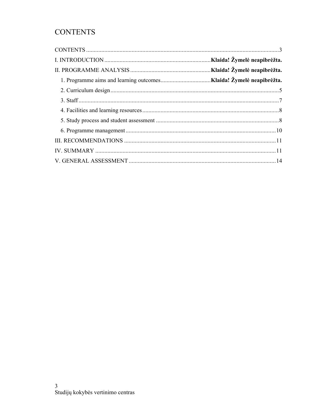# **CONTENTS**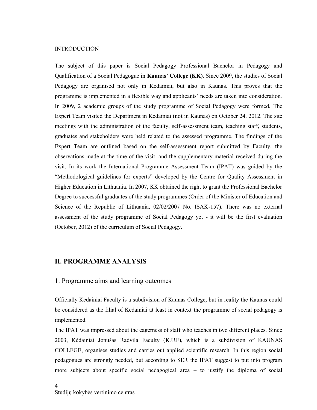#### INTRODUCTION

The subject of this paper is Social Pedagogy Professional Bachelor in Pedagogy and Qualification of a Social Pedagogue in **Kaunas' College (KK).** Since 2009, the studies of Social Pedagogy are organised not only in Kedainiai, but also in Kaunas. This proves that the programme is implemented in a flexible way and applicants' needs are taken into consideration. In 2009, 2 academic groups of the study programme of Social Pedagogy were formed. The Expert Team visited the Department in Kedainiai (not in Kaunas) on October 24, 2012. The site meetings with the administration of the faculty, self-assessment team, teaching staff, students, graduates and stakeholders were held related to the assessed programme. The findings of the Expert Team are outlined based on the self-assessment report submitted by Faculty, the observations made at the time of the visit, and the supplementary material received during the visit. In its work the International Programme Assessment Team (IPAT) was guided by the "Methodological guidelines for experts" developed by the Centre for Quality Assessment in Higher Education in Lithuania. In 2007, KK obtained the right to grant the Professional Bachelor Degree to successful graduates of the study programmes (Order of the Minister of Education and Science of the Republic of Lithuania, 02/02/2007 No. ISAK-157). There was no external assessment of the study programme of Social Pedagogy yet - it will be the first evaluation (October, 2012) of the curriculum of Social Pedagogy.

#### **II. PROGRAMME ANALYSIS**

#### 1. Programme aims and learning outcomes

Officially Kedainiai Faculty is a subdivision of Kaunas College, but in reality the Kaunas could be considered as the filial of Kedainiai at least in context the programme of social pedagogy is implemented.

The IPAT was impressed about the eagerness of staff who teaches in two different places. Since 2003, Kėdainiai Jonušas Radvila Faculty (KJRF), which is a subdivision of KAUNAS COLLEGE, organises studies and carries out applied scientific research. In this region social pedagogues are strongly needed, but according to SER the IPAT suggest to put into program more subjects about specific social pedagogical area – to justify the diploma of social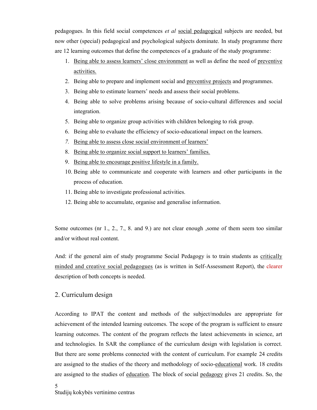pedagogues. In this field social competences *et al* social pedagogical subjects are needed, but now other (special) pedagogical and psychological subjects dominate. In study programme there are 12 learning outcomes that define the competences of a graduate of the study programme:

- 1. Being able to assess learners' close environment as well as define the need of preventive activities.
- 2. Being able to prepare and implement social and preventive projects and programmes.
- 3. Being able to estimate learners' needs and assess their social problems.
- 4. Being able to solve problems arising because of socio-cultural differences and social integration.
- 5. Being able to organize group activities with children belonging to risk group.
- 6. Being able to evaluate the efficiency of socio-educational impact on the learners.
- *7.* Being able to assess close social environment of learners'
- 8. Being able to organize social support to learners' families.
- 9. Being able to encourage positive lifestyle in a family.
- 10. Being able to communicate and cooperate with learners and other participants in the process of education.
- 11. Being able to investigate professional activities.
- 12. Being able to accumulate, organise and generalise information.

Some outcomes (nr 1, 2, 7, 8, and 9.) are not clear enough , some of them seem too similar and/or without real content.

And: if the general aim of study programme Social Pedagogy is to train students as critically minded and creative social pedagogues (as is written in Self-Assessment Report), the clearer description of both concepts is needed.

# 2. Curriculum design

According to IPAT the content and methods of the subject/modules are appropriate for achievement of the intended learning outcomes. The scope of the program is sufficient to ensure learning outcomes. The content of the program reflects the latest achievements in science, art and technologies. In SAR the compliance of the curriculum design with legislation is correct. But there are some problems connected with the content of curriculum. For example 24 credits are assigned to the studies of the theory and methodology of socio-educational work. 18 credits are assigned to the studies of education. The block of social pedagogy gives 21 credits. So, the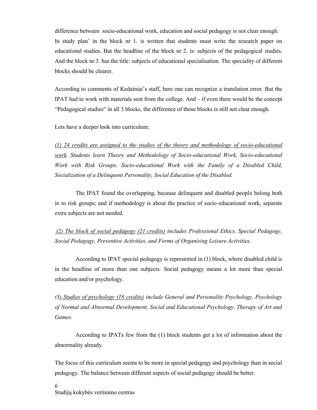difference between socio-educational work, education and social pedagogy is not clear enough. In study plan' in the block nr 1. is written that students must write the research paper on educational studies. But the headline of the block nr 2. is: subjects of the pedagogical studies. And the block nr 3. has the title: subjects of educational specialisation. The speciality of different blocks should be clearer.

According to comments of Kedainiai's staff, here one can recognize a translation error. But the IPAT had to work with materials sent from the college. And – if even there would be the concept "Pedagogical studies" in all 3 blocks, the difference of those blocks is still not clear enough.

Lets have a deeper look into curriculum:

*(1) 24 credits are assigned to the studies of the theory and methodology of socio-educational work. Students learn Theory and Methodology of Socio-educational Work, Socio-educational Work with Risk Groups, Socio-educational Work with the Family of a Disabled Child, Socialization of a Delinquent Personality, Social Education of the Disabled.*

The IPAT found the overlapping, because delinquent and disabled people belong both in to risk groups; and if methodology is about the practice of socio-educational work, separate extra subjects are not needed.

*(2) The block of social pedagogy (21 credits) includes Professional Ethics, Special Pedagogy, Social Pedagogy, Preventive Activities, and Forms of Organising Leisure Activities.*

According to IPAT special pedagogy is represented in (1) block, where disabled child is in the headline of more than one subjects. Social pedagogy means a lot more than special education and/or psychology.

*(3) Studies of psychology (18 credits) include General and Personality Psychology, Psychology of Normal and Abnormal Development, Social and Educational Psychology, Therapy of Art and Games.*

According to IPATs few from the (1) block students get a lot of information about the abnormality already.

The focus of this curriculum seems to be more in special pedagogy and psychology than in social pedagogy. The balance between different aspects of social pedagogy should be better.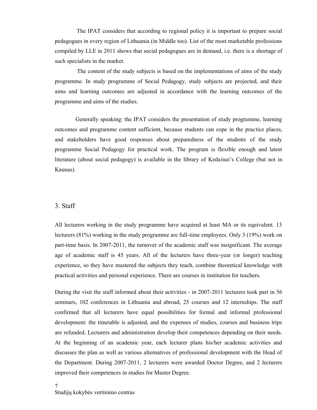The IPAT considers that according to regional policy it is important to prepare social pedagogues in every region of Lithuania (in Middle too). List of the most marketable professions compiled by LLE in 2011 shows that social pedagogues are in demand, i.e. there is a shortage of such specialists in the market.

The content of the study subjects is based on the implementations of aims of the study programme. In study programme of Social Pedagogy, study subjects are projected, and their aims and learning outcomes are adjusted in accordance with the learning outcomes of the programme and aims of the studies.

Generally speaking: the IPAT considers the presentation of study programme, learning outcomes and programme content sufficient, because students can cope in the practice places, and stakeholders have good responses about preparedness of the students of the study programme Social Pedagogy for practical work. The program is flexible enough and latest literature (about social pedagogy) is available in the library of Kedainai's College (but not in Kaunas).

#### 3. Staff

All lecturers working in the study programme have acquired at least MA or its equivalent. 13 lecturers (81%) working in the study programme are full-time employees. Only 3 (19%) work on part-time basis. In 2007-2011, the turnover of the academic staff was insignificant. The average age of academic staff is 45 years. All of the lecturers have three-year (or longer) teaching experience, so they have mastered the subjects they teach, combine theoretical knowledge with practical activities and personal experience. There are courses in institution for teachers.

During the visit the staff informed about their activities - in 2007-2011 lecturers took part in 56 seminars, 102 conferences in Lithuania and abroad, 25 courses and 12 internships. The staff confirmed that all lecturers have equal possibilities for formal and informal professional development: the timetable is adjusted, and the expenses of studies, courses and business trips are refunded. Lecturers and administration develop their competences depending on their needs. At the beginning of an academic year, each lecturer plans his/her academic activities and discusses the plan as well as various alternatives of professional development with the Head of the Department. During 2007-2011, 2 lecturers were awarded Doctor Degree, and 2 lecturers improved their competences in studies for Master Degree.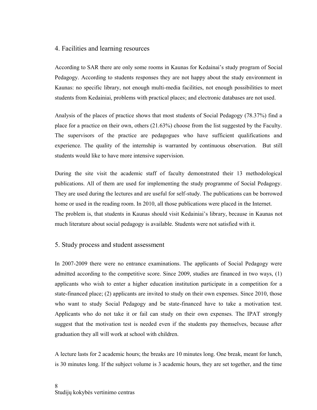### 4. Facilities and learning resources

According to SAR there are only some rooms in Kaunas for Kedainai's study program of Social Pedagogy. According to students responses they are not happy about the study environment in Kaunas: no specific library, not enough multi-media facilities, not enough possibilities to meet students from Kedainiai, problems with practical places; and electronic databases are not used.

Analysis of the places of practice shows that most students of Social Pedagogy (78.37%) find a place for a practice on their own, others (21.63%) choose from the list suggested by the Faculty. The supervisors of the practice are pedagogues who have sufficient qualifications and experience. The quality of the internship is warranted by continuous observation. But still students would like to have more intensive supervision.

During the site visit the academic staff of faculty demonstrated their 13 methodological publications. All of them are used for implementing the study programme of Social Pedagogy. They are used during the lectures and are useful for self-study. The publications can be borrowed home or used in the reading room. In 2010, all those publications were placed in the Internet. The problem is, that students in Kaunas should visit Kedainiai's library, because in Kaunas not much literature about social pedagogy is available. Students were not satisfied with it.

## 5. Study process and student assessment

In 2007-2009 there were no entrance examinations. The applicants of Social Pedagogy were admitted according to the competitive score. Since 2009, studies are financed in two ways, (1) applicants who wish to enter a higher education institution participate in a competition for a state-financed place; (2) applicants are invited to study on their own expenses. Since 2010, those who want to study Social Pedagogy and be state-financed have to take a motivation test. Applicants who do not take it or fail can study on their own expenses. The IPAT strongly suggest that the motivation test is needed even if the students pay themselves, because after graduation they all will work at school with children.

A lecture lasts for 2 academic hours; the breaks are 10 minutes long. One break, meant for lunch, is 30 minutes long. If the subject volume is 3 academic hours, they are set together, and the time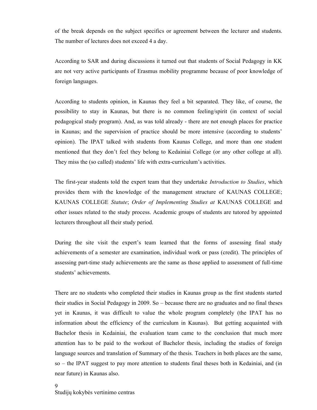of the break depends on the subject specifics or agreement between the lecturer and students. The number of lectures does not exceed 4 a day.

According to SAR and during discussions it turned out that students of Social Pedagogy in KK are not very active participants of Erasmus mobility programme because of poor knowledge of foreign languages.

According to students opinion, in Kaunas they feel a bit separated. They like, of course, the possibility to stay in Kaunas, but there is no common feeling/spirit (in context of social pedagogical study program). And, as was told already - there are not enough places for practice in Kaunas; and the supervision of practice should be more intensive (according to students' opinion). The IPAT talked with students from Kaunas College, and more than one student mentioned that they don't feel they belong to Kedainiai College (or any other college at all). They miss the (so called) students' life with extra-curriculum's activities.

The first-year students told the expert team that they undertake *Introduction to Studies*, which provides them with the knowledge of the management structure of KAUNAS COLLEGE; KAUNAS COLLEGE *Statute*; *Order of Implementing Studies at* KAUNAS COLLEGE and other issues related to the study process. Academic groups of students are tutored by appointed lecturers throughout all their study period.

During the site visit the expert's team learned that the forms of assessing final study achievements of a semester are examination, individual work or pass (credit). The principles of assessing part-time study achievements are the same as those applied to assessment of full-time students' achievements.

There are no students who completed their studies in Kaunas group as the first students started their studies in Social Pedagogy in 2009. So – because there are no graduates and no final theses yet in Kaunas, it was difficult to value the whole program completely (the IPAT has no information about the efficiency of the curriculum in Kaunas). But getting acquainted with Bachelor thesis in Kedainiai, the evaluation team came to the conclusion that much more attention has to be paid to the workout of Bachelor thesis, including the studies of foreign language sources and translation of Summary of the thesis. Teachers in both places are the same, so – the IPAT suggest to pay more attention to students final theses both in Kedainiai, and (in near future) in Kaunas also.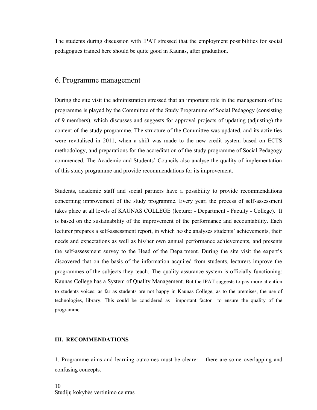The students during discussion with IPAT stressed that the employment possibilities for social pedagogues trained here should be quite good in Kaunas, after graduation.

## 6. Programme management

During the site visit the administration stressed that an important role in the management of the programme is played by the Committee of the Study Programme of Social Pedagogy (consisting of 9 members), which discusses and suggests for approval projects of updating (adjusting) the content of the study programme. The structure of the Committee was updated, and its activities were revitalised in 2011, when a shift was made to the new credit system based on ECTS methodology, and preparations for the accreditation of the study programme of Social Pedagogy commenced. The Academic and Students' Councils also analyse the quality of implementation of this study programme and provide recommendations for its improvement.

Students, academic staff and social partners have a possibility to provide recommendations concerning improvement of the study programme. Every year, the process of self-assessment takes place at all levels of KAUNAS COLLEGE (lecturer - Department - Faculty - College). It is based on the sustainability of the improvement of the performance and accountability. Each lecturer prepares a self-assessment report, in which he/she analyses students' achievements, their needs and expectations as well as his/her own annual performance achievements, and presents the self-assessment survey to the Head of the Department. During the site visit the expert's discovered that on the basis of the information acquired from students, lecturers improve the programmes of the subjects they teach. The quality assurance system is officially functioning: Kaunas College has a System of Quality Management. But the IPAT suggests to pay more attention to students voices: as far as students are not happy in Kaunas College, as to the premises, the use of technologies, library. This could be considered as important factor to ensure the quality of the programme.

#### **III. RECOMMENDATIONS**

1. Programme aims and learning outcomes must be clearer – there are some overlapping and confusing concepts.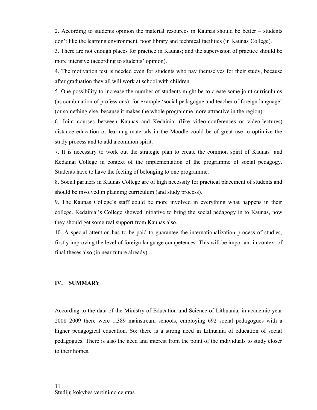2. According to students opinion the material resources in Kaunas should be better – students don't like the learning environment, poor library and technical facilities (in Kaunas College).

3. There are not enough places for practice in Kaunas; and the supervision of practice should be more intensive (according to students' opinion).

4. The motivation test is needed even for students who pay themselves for their study, because after graduation they all will work at school with children.

5. One possibility to increase the number of students might be to create some joint curriculums (as combination of professions): for example 'social pedagogue and teacher of foreign language' (or something else, because it makes the whole programme more attractive in the region).

6. Joint courses between Kaunas and Kedainiai (like video-conferences or video-lectures) distance education or learning materials in the Moodle could be of great use to optimize the study process and to add a common spirit.

7. It is necessary to work out the strategic plan to create the common spirit of Kaunas' and Kedainai College in context of the implementation of the programme of social pedagogy. Students have to have the feeling of belonging to one programme.

8. Social partners in Kaunas College are of high necessity for practical placement of students and should be involved in planning curriculum (and study process).

9. The Kaunas College's staff could be more involved in everything what happens in their college. Kedainiai's College showed initiative to bring the social pedagogy in to Kaunas, now they should get some real support from Kaunas also.

10. A special attention has to be paid to guarantee the internationalization process of studies, firstly improving the level of foreign language competences. This will be important in context of final theses also (in near future already).

#### **IV. SUMMARY**

According to the data of the Ministry of Education and Science of Lithuania, in academic year 2008–2009 there were 1,389 mainstream schools, employing 692 social pedagogues with a higher pedagogical education. So: there is a strong need in Lithuania of education of social pedagogues. There is also the need and interest from the point of the individuals to study closer to their homes.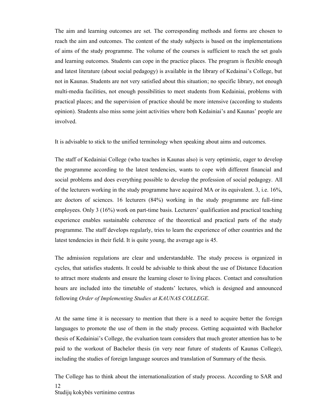The aim and learning outcomes are set. The corresponding methods and forms are chosen to reach the aim and outcomes. The content of the study subjects is based on the implementations of aims of the study programme. The volume of the courses is sufficient to reach the set goals and learning outcomes. Students can cope in the practice places. The program is flexible enough and latest literature (about social pedagogy) is available in the library of Kedainai's College, but not in Kaunas. Students are not very satisfied about this situation; no specific library, not enough multi-media facilities, not enough possibilities to meet students from Kedainiai, problems with practical places; and the supervision of practice should be more intensive (according to students opinion). Students also miss some joint activities where both Kedainiai's and Kaunas' people are involved.

It is advisable to stick to the unified terminology when speaking about aims and outcomes.

The staff of Kedainiai College (who teaches in Kaunas also) is very optimistic, eager to develop the programme according to the latest tendencies, wants to cope with different financial and social problems and does everything possible to develop the profession of social pedagogy. All of the lecturers working in the study programme have acquired MA or its equivalent. 3, i.e. 16%, are doctors of sciences. 16 lecturers (84%) working in the study programme are full-time employees. Only 3 (16%) work on part-time basis. Lecturers' qualification and practical teaching experience enables sustainable coherence of the theoretical and practical parts of the study programme. The staff develops regularly, tries to learn the experience of other countries and the latest tendencies in their field. It is quite young, the average age is 45.

The admission regulations are clear and understandable. The study process is organized in cycles, that satisfies students. It could be advisable to think about the use of Distance Education to attract more students and ensure the learning closer to living places. Contact and consultation hours are included into the timetable of students' lectures, which is designed and announced following *Order of Implementing Studies at KAUNAS COLLEGE*.

At the same time it is necessary to mention that there is a need to acquire better the foreign languages to promote the use of them in the study process. Getting acquainted with Bachelor thesis of Kedainiai's College, the evaluation team considers that much greater attention has to be paid to the workout of Bachelor thesis (in very near future of students of Kaunas College), including the studies of foreign language sources and translation of Summary of the thesis.

Studijų kokybės vertinimo centras 12 The College has to think about the internationalization of study process. According to SAR and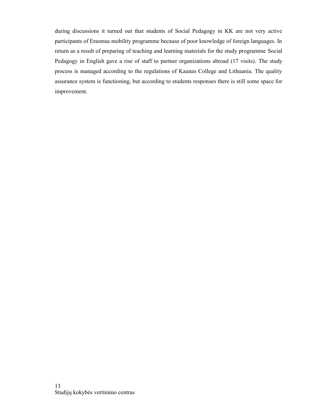during discussions it turned out that students of Social Pedagogy in KK are not very active participants of Erasmus mobility programme because of poor knowledge of foreign languages. In return as a result of preparing of teaching and learning materials for the study programme Social Pedagogy in English gave a rise of staff to partner organizations abroad (17 visits). The study process is managed according to the regulations of Kaunas College and Lithuania. The quality assurance system is functioning, but according to students responses there is still some space for improvement.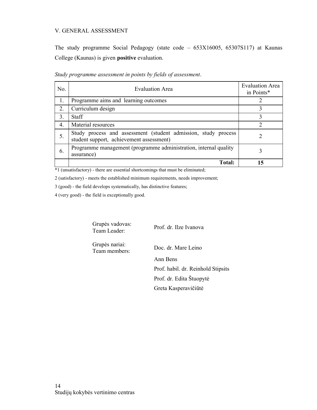#### V. GENERAL ASSESSMENT

The study programme Social Pedagogy (state code – 653X16005, 65307S117) at Kaunas College (Kaunas) is given **positive** evaluation.

| No. | <b>Evaluation Area</b>                                                                                     | <b>Evaluation Area</b><br>in Points* |
|-----|------------------------------------------------------------------------------------------------------------|--------------------------------------|
| 1.  | Programme aims and learning outcomes                                                                       |                                      |
| 2.  | Curriculum design                                                                                          |                                      |
| 3.  | <b>Staff</b>                                                                                               |                                      |
| 4.  | Material resources                                                                                         |                                      |
| 5.  | Study process and assessment (student admission, study process<br>student support, achievement assessment) |                                      |
| 6.  | Programme management (programme administration, internal quality<br>assurance)                             |                                      |
|     | <b>Total:</b>                                                                                              | 15                                   |

*Study programme assessment in points by fields of assessment*.

\*1 (unsatisfactory) - there are essential shortcomings that must be eliminated;

2 (satisfactory) - meets the established minimum requirements, needs improvement;

3 (good) - the field develops systematically, has distinctive features;

4 (very good) - the field is exceptionally good.

Grupės vadovas:<br>Team Leader:

Prof. dr. Ilze Ivanova

Grupės nariai: Team members: Doc. dr. Mare Leino

Ann Bens Prof. habil. dr. Reinhold Stipsits Prof. dr. Edita Štuopytė Greta Kasperavičiūtė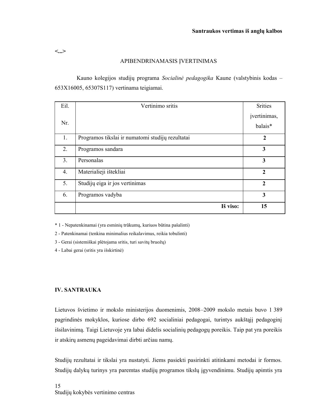**<...>**

## APIBENDRINAMASIS ĮVERTINIMAS

Kauno kolegijos studijų programa *Socialinė pedagogika* Kaune (valstybinis kodas – 653X16005, 65307S117) vertinama teigiamai.

| Eil.             | Vertinimo sritis                                 | <b>Srities</b>          |
|------------------|--------------------------------------------------|-------------------------|
| Nr.              |                                                  | įvertinimas,<br>balais* |
| 1.               | Programos tikslai ir numatomi studijų rezultatai | $\overline{2}$          |
|                  |                                                  |                         |
| 2.               | Programos sandara                                | 3                       |
| 3.               | Personalas                                       | $\overline{\mathbf{3}}$ |
| $\overline{4}$ . | Materialieji ištekliai                           | $\mathbf{2}$            |
| 5.               | Studijų eiga ir jos vertinimas                   | $\overline{2}$          |
| 6.               | Programos vadyba                                 | 3                       |
|                  | Iš viso:                                         | 15                      |

\* 1 - Nepatenkinamai (yra esminių trūkumų, kuriuos būtina pašalinti)

2 - Patenkinamai (tenkina minimalius reikalavimus, reikia tobulinti)

3 - Gerai (sistemiškai plėtojama sritis, turi savitų bruožų)

4 - Labai gerai (sritis yra išskirtinė)

#### **IV. SANTRAUKA**

Lietuvos švietimo ir mokslo ministerijos duomenimis, 2008–2009 mokslo metais buvo 1 389 pagrindinės mokyklos, kuriose dirbo 692 socialiniai pedagogai, turintys aukštąjį pedagoginį išsilavinimą. Taigi Lietuvoje yra labai didelis socialinių pedagogų poreikis. Taip pat yra poreikis ir atskirų asmenų pageidavimai dirbti arčiau namų.

Studijų rezultatai ir tikslai yra nustatyti. Jiems pasiekti pasirinkti atitinkami metodai ir formos. Studijų dalykų turinys yra paremtas studijų programos tikslų įgyvendinimu. Studijų apimtis yra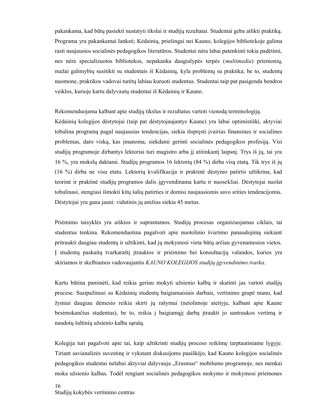pakankama, kad būtų pasiekti nustatyti tikslai ir studijų rezultatai. Studentai geba atlikti praktiką. Programa yra pakankamai lanksti; Kėdainių, priešingai nei Kauno, kolegijos bibliotekoje galima rasti naujausios socialinės pedagogikos literatūros. Studentai nėra labai patenkinti tokia padėtimi, nes nėra specializuotos bibliotekos, nepakanka daugialypės terpės (*multimedia*) priemonių, mažai galimybių susitikti su studentais iš Kėdainių, kyla problemų su praktika; be to, studentų nuomone, praktikos vadovai turėtų labiau kuruoti studentus. Studentai taip pat pasigenda bendros veiklos, kurioje kartu dalyvautų studentai iš Kėdainių ir Kauno.

Rekomenduojama kalbant apie studijų tikslus ir rezultatus vartoti vienodą terminologiją.

Kėdainių kolegijos dėstytojai (taip pat dėstytojaujantys Kaune) yra labai optimistiški, aktyviai tobulina programą pagal naujausias tendencijas, siekia išspręsti įvairias finansines ir socialines problemas, daro viską, kas įmanoma, siekdami gerinti socialinės pedagogikos profesiją. Visi studijų programoje dirbantys lektoriai turi magistro arba jį atitinkantį laipsnį. Trys iš jų, tai yra 16 %, yra mokslų daktarai. Studijų programos 16 lektorių (84 %) dirba visą etatą. Tik trys iš jų (16 %) dirba ne visu etatu. Lektorių kvalifikacija ir praktinė dėstymo patirtis užtikrina, kad teorinė ir praktinė studijų programos dalis įgyvendinama kartu ir nuosekliai. Dėstytojai nuolat tobulinasi, stengiasi išmokti kitų šalių patirties ir domisi naujausiomis savo srities tendencijomis. Dėstytojai yra gana jauni: vidutinis jų amžius siekia 45 metus.

Priėmimo taisyklės yra aiškios ir suprantamos. Studijų procesas organizuojamas ciklais, tai studentus tenkina. Rekomenduotina pagalvoti apie nuotolinio švietimo panaudojimą siekiant pritraukti daugiau studentų ir užtikinti, kad jų mokymosi vieta būtų arčiau gyvenamosios vietos. Į studentų paskaitų tvarkaraštį įtrauktos ir priėmimo bei konsultacijų valandos, kurios yra skiriamos ir skelbiamos vadovaujantis *KAUNO KOLEGIJOS studijų įgyvendinimo tvarka*.

Kartu būtina paminėti, kad reikia geriau mokyti užsienio kalbų ir skatinti jas vartoti studijų procese. Susipažinusi su Kėdainių studentų baigiamaisiais darbais, vertinimo grupė mano, kad žymiai daugiau dėmesio reikia skirti jų rašymui (netolimoje ateityje, kalbant apie Kaune besimokančius studentus), be to, reikia į baigiamąjį darbą įtraukti jo santraukos vertimą ir naudotų šaltinių užsienio kalba sąrašą.

Kolegija turi pagalvoti apie tai, kaip užtikrinti studijų proceso reikšmę tarptautiniame lygyje. Tiriant savianalizės suvestinę ir vykstant diskusijoms paaiškėjo, kad Kauno kolegijos socialinės pedagogikos studentai nelabai aktyviai dalyvauja "Erasmus" mobilumo programoje, nes menkai moka užsienio kalbas. Todėl rengiant socialinės pedagogikos mokymo ir mokymosi priemones